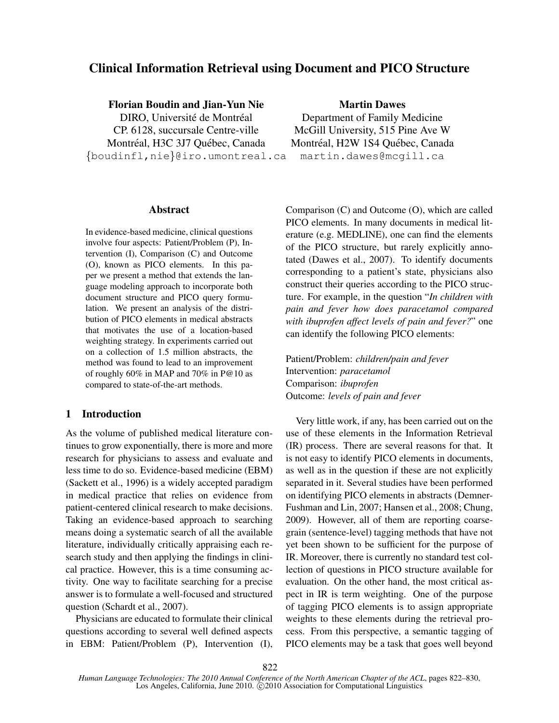# Clinical Information Retrieval using Document and PICO Structure

## Florian Boudin and Jian-Yun Nie

DIRO, Université de Montréal CP. 6128, succursale Centre-ville Montréal, H3C 3J7 Québec, Canada {boudinfl,nie}@iro.umontreal.ca

#### Martin Dawes

Department of Family Medicine McGill University, 515 Pine Ave W Montréal, H2W 1S4 Québec, Canada martin.dawes@mcgill.ca

#### Abstract

In evidence-based medicine, clinical questions involve four aspects: Patient/Problem (P), Intervention (I), Comparison (C) and Outcome (O), known as PICO elements. In this paper we present a method that extends the language modeling approach to incorporate both document structure and PICO query formulation. We present an analysis of the distribution of PICO elements in medical abstracts that motivates the use of a location-based weighting strategy. In experiments carried out on a collection of 1.5 million abstracts, the method was found to lead to an improvement of roughly 60% in MAP and 70% in P@10 as compared to state-of-the-art methods.

## 1 Introduction

As the volume of published medical literature continues to grow exponentially, there is more and more research for physicians to assess and evaluate and less time to do so. Evidence-based medicine (EBM) (Sackett et al., 1996) is a widely accepted paradigm in medical practice that relies on evidence from patient-centered clinical research to make decisions. Taking an evidence-based approach to searching means doing a systematic search of all the available literature, individually critically appraising each research study and then applying the findings in clinical practice. However, this is a time consuming activity. One way to facilitate searching for a precise answer is to formulate a well-focused and structured question (Schardt et al., 2007).

Physicians are educated to formulate their clinical questions according to several well defined aspects in EBM: Patient/Problem (P), Intervention (I), Comparison (C) and Outcome (O), which are called PICO elements. In many documents in medical literature (e.g. MEDLINE), one can find the elements of the PICO structure, but rarely explicitly annotated (Dawes et al., 2007). To identify documents corresponding to a patient's state, physicians also construct their queries according to the PICO structure. For example, in the question "*In children with pain and fever how does paracetamol compared with ibuprofen affect levels of pain and fever?*" one can identify the following PICO elements:

Patient/Problem: *children/pain and fever* Intervention: *paracetamol* Comparison: *ibuprofen* Outcome: *levels of pain and fever*

Very little work, if any, has been carried out on the use of these elements in the Information Retrieval (IR) process. There are several reasons for that. It is not easy to identify PICO elements in documents, as well as in the question if these are not explicitly separated in it. Several studies have been performed on identifying PICO elements in abstracts (Demner-Fushman and Lin, 2007; Hansen et al., 2008; Chung, 2009). However, all of them are reporting coarsegrain (sentence-level) tagging methods that have not yet been shown to be sufficient for the purpose of IR. Moreover, there is currently no standard test collection of questions in PICO structure available for evaluation. On the other hand, the most critical aspect in IR is term weighting. One of the purpose of tagging PICO elements is to assign appropriate weights to these elements during the retrieval process. From this perspective, a semantic tagging of PICO elements may be a task that goes well beyond

822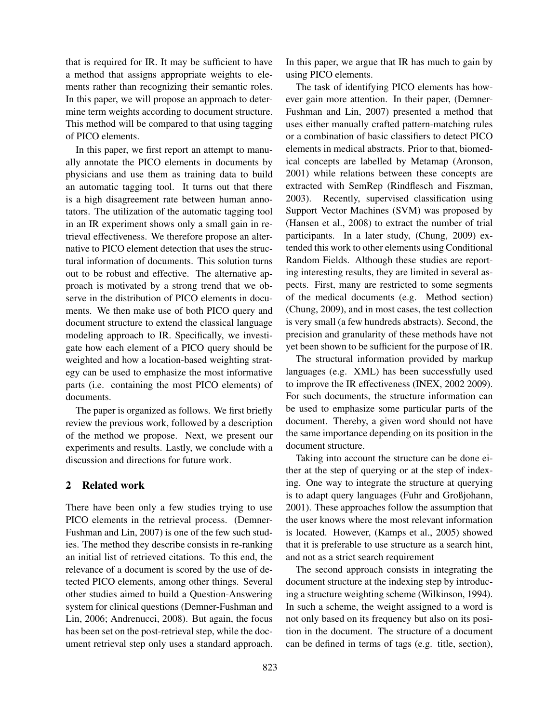that is required for IR. It may be sufficient to have a method that assigns appropriate weights to elements rather than recognizing their semantic roles. In this paper, we will propose an approach to determine term weights according to document structure. This method will be compared to that using tagging of PICO elements.

In this paper, we first report an attempt to manually annotate the PICO elements in documents by physicians and use them as training data to build an automatic tagging tool. It turns out that there is a high disagreement rate between human annotators. The utilization of the automatic tagging tool in an IR experiment shows only a small gain in retrieval effectiveness. We therefore propose an alternative to PICO element detection that uses the structural information of documents. This solution turns out to be robust and effective. The alternative approach is motivated by a strong trend that we observe in the distribution of PICO elements in documents. We then make use of both PICO query and document structure to extend the classical language modeling approach to IR. Specifically, we investigate how each element of a PICO query should be weighted and how a location-based weighting strategy can be used to emphasize the most informative parts (i.e. containing the most PICO elements) of documents.

The paper is organized as follows. We first briefly review the previous work, followed by a description of the method we propose. Next, we present our experiments and results. Lastly, we conclude with a discussion and directions for future work.

#### 2 Related work

There have been only a few studies trying to use PICO elements in the retrieval process. (Demner-Fushman and Lin, 2007) is one of the few such studies. The method they describe consists in re-ranking an initial list of retrieved citations. To this end, the relevance of a document is scored by the use of detected PICO elements, among other things. Several other studies aimed to build a Question-Answering system for clinical questions (Demner-Fushman and Lin, 2006; Andrenucci, 2008). But again, the focus has been set on the post-retrieval step, while the document retrieval step only uses a standard approach. In this paper, we argue that IR has much to gain by using PICO elements.

The task of identifying PICO elements has however gain more attention. In their paper, (Demner-Fushman and Lin, 2007) presented a method that uses either manually crafted pattern-matching rules or a combination of basic classifiers to detect PICO elements in medical abstracts. Prior to that, biomedical concepts are labelled by Metamap (Aronson, 2001) while relations between these concepts are extracted with SemRep (Rindflesch and Fiszman, 2003). Recently, supervised classification using Support Vector Machines (SVM) was proposed by (Hansen et al., 2008) to extract the number of trial participants. In a later study, (Chung, 2009) extended this work to other elements using Conditional Random Fields. Although these studies are reporting interesting results, they are limited in several aspects. First, many are restricted to some segments of the medical documents (e.g. Method section) (Chung, 2009), and in most cases, the test collection is very small (a few hundreds abstracts). Second, the precision and granularity of these methods have not yet been shown to be sufficient for the purpose of IR.

The structural information provided by markup languages (e.g. XML) has been successfully used to improve the IR effectiveness (INEX, 2002 2009). For such documents, the structure information can be used to emphasize some particular parts of the document. Thereby, a given word should not have the same importance depending on its position in the document structure.

Taking into account the structure can be done either at the step of querying or at the step of indexing. One way to integrate the structure at querying is to adapt query languages (Fuhr and Großjohann, 2001). These approaches follow the assumption that the user knows where the most relevant information is located. However, (Kamps et al., 2005) showed that it is preferable to use structure as a search hint, and not as a strict search requirement

The second approach consists in integrating the document structure at the indexing step by introducing a structure weighting scheme (Wilkinson, 1994). In such a scheme, the weight assigned to a word is not only based on its frequency but also on its position in the document. The structure of a document can be defined in terms of tags (e.g. title, section),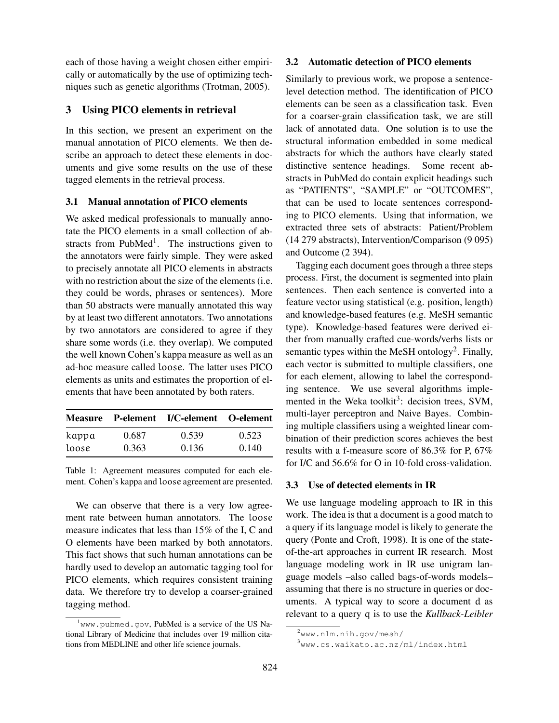each of those having a weight chosen either empirically or automatically by the use of optimizing techniques such as genetic algorithms (Trotman, 2005).

## 3 Using PICO elements in retrieval

In this section, we present an experiment on the manual annotation of PICO elements. We then describe an approach to detect these elements in documents and give some results on the use of these tagged elements in the retrieval process.

## 3.1 Manual annotation of PICO elements

We asked medical professionals to manually annotate the PICO elements in a small collection of abstracts from PubMed<sup>1</sup>. The instructions given to the annotators were fairly simple. They were asked to precisely annotate all PICO elements in abstracts with no restriction about the size of the elements (i.e. they could be words, phrases or sentences). More than 50 abstracts were manually annotated this way by at least two different annotators. Two annotations by two annotators are considered to agree if they share some words (i.e. they overlap). We computed the well known Cohen's kappa measure as well as an ad-hoc measure called loose. The latter uses PICO elements as units and estimates the proportion of elements that have been annotated by both raters.

|       |       | Measure P-element I/C-element O-element |       |  |
|-------|-------|-----------------------------------------|-------|--|
| kappa | 0.687 | 0.539                                   | 0.523 |  |
| loose | 0.363 | 0.136                                   | 0.140 |  |

Table 1: Agreement measures computed for each element. Cohen's kappa and loose agreement are presented.

We can observe that there is a very low agreement rate between human annotators. The loose measure indicates that less than 15% of the I, C and O elements have been marked by both annotators. This fact shows that such human annotations can be hardly used to develop an automatic tagging tool for PICO elements, which requires consistent training data. We therefore try to develop a coarser-grained tagging method.

#### 3.2 Automatic detection of PICO elements

Similarly to previous work, we propose a sentencelevel detection method. The identification of PICO elements can be seen as a classification task. Even for a coarser-grain classification task, we are still lack of annotated data. One solution is to use the structural information embedded in some medical abstracts for which the authors have clearly stated distinctive sentence headings. Some recent abstracts in PubMed do contain explicit headings such as "PATIENTS", "SAMPLE" or "OUTCOMES", that can be used to locate sentences corresponding to PICO elements. Using that information, we extracted three sets of abstracts: Patient/Problem (14 279 abstracts), Intervention/Comparison (9 095) and Outcome (2 394).

Tagging each document goes through a three steps process. First, the document is segmented into plain sentences. Then each sentence is converted into a feature vector using statistical (e.g. position, length) and knowledge-based features (e.g. MeSH semantic type). Knowledge-based features were derived either from manually crafted cue-words/verbs lists or semantic types within the MeSH ontology<sup>2</sup>. Finally, each vector is submitted to multiple classifiers, one for each element, allowing to label the corresponding sentence. We use several algorithms implemented in the Weka toolkit<sup>3</sup>: decision trees, SVM, multi-layer perceptron and Naive Bayes. Combining multiple classifiers using a weighted linear combination of their prediction scores achieves the best results with a f-measure score of 86.3% for P, 67% for I/C and 56.6% for O in 10-fold cross-validation.

#### 3.3 Use of detected elements in IR

We use language modeling approach to IR in this work. The idea is that a document is a good match to a query if its language model is likely to generate the query (Ponte and Croft, 1998). It is one of the stateof-the-art approaches in current IR research. Most language modeling work in IR use unigram language models –also called bags-of-words models– assuming that there is no structure in queries or documents. A typical way to score a document d as relevant to a query q is to use the *Kullback-Leibler*

 $1$ <sub>WWW</sub>.pubmed.gov, PubMed is a service of the US National Library of Medicine that includes over 19 million citations from MEDLINE and other life science journals.

<sup>2</sup>www.nlm.nih.gov/mesh/

<sup>3</sup>www.cs.waikato.ac.nz/ml/index.html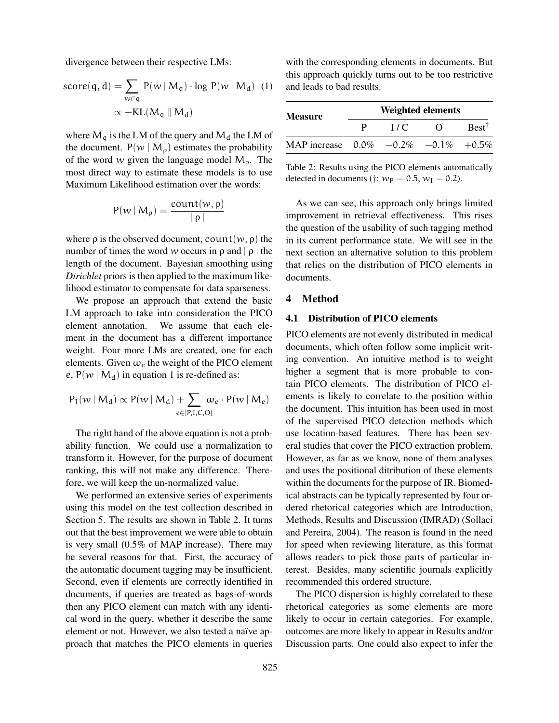divergence between their respective LMs:

$$
score(q, d) = \sum_{w \in q} P(w | M_q) \cdot log P(w | M_d) \quad (1)
$$

$$
\propto -KL(M_q || M_d)
$$

where  $M_q$  is the LM of the query and  $M_d$  the LM of the document.  $P(w \mid M_{\rho})$  estimates the probability of the word w given the language model  $M_{\rho}$ . The most direct way to estimate these models is to use Maximum Likelihood estimation over the words:

$$
P(w \mid M_{\rho}) = \frac{count(w, \rho)}{|\rho|}
$$

where  $\rho$  is the observed document, count  $(w, \rho)$  the number of times the word w occurs in  $\rho$  and  $|\rho|$  the length of the document. Bayesian smoothing using *Dirichlet* priors is then applied to the maximum likelihood estimator to compensate for data sparseness.

We propose an approach that extend the basic LM approach to take into consideration the PICO element annotation. We assume that each element in the document has a different importance weight. Four more LMs are created, one for each elements. Given  $\omega_e$  the weight of the PICO element e,  $P(w \mid M_d)$  in equation 1 is re-defined as:

$$
P_1(w \mid M_d) \propto P(w \mid M_d) + \!\!\!\!\!\!\!\!\!\sum_{e \in [P,I,C,O]} \!\!\!\!\!\!\!\!\!\!\!\! \omega_e \cdot P(w \mid M_e)
$$

The right hand of the above equation is not a probability function. We could use a normalization to transform it. However, for the purpose of document ranking, this will not make any difference. Therefore, we will keep the un-normalized value.

We performed an extensive series of experiments using this model on the test collection described in Section 5. The results are shown in Table 2. It turns out that the best improvement we were able to obtain is very small (0.5% of MAP increase). There may be several reasons for that. First, the accuracy of the automatic document tagging may be insufficient. Second, even if elements are correctly identified in documents, if queries are treated as bags-of-words then any PICO element can match with any identical word in the query, whether it describe the same element or not. However, we also tested a naïve approach that matches the PICO elements in queries with the corresponding elements in documents. But this approach quickly turns out to be too restrictive and leads to bad results.

| <b>Measure</b>                            | <b>Weighted elements</b> |                  |           |                  |  |
|-------------------------------------------|--------------------------|------------------|-----------|------------------|--|
|                                           | P.                       | $\overline{L}/C$ | $\lambda$ | $Best^{\dagger}$ |  |
| MAP increase $0.0\%$ -0.2\% -0.1\% +0.5\% |                          |                  |           |                  |  |

Table 2: Results using the PICO elements automatically detected in documents (†:  $w_P = 0.5$ ,  $w_I = 0.2$ ).

As we can see, this approach only brings limited improvement in retrieval effectiveness. This rises the question of the usability of such tagging method in its current performance state. We will see in the next section an alternative solution to this problem that relies on the distribution of PICO elements in documents.

## 4 Method

## 4.1 Distribution of PICO elements

PICO elements are not evenly distributed in medical documents, which often follow some implicit writing convention. An intuitive method is to weight higher a segment that is more probable to contain PICO elements. The distribution of PICO elements is likely to correlate to the position within the document. This intuition has been used in most of the supervised PICO detection methods which use location-based features. There has been several studies that cover the PICO extraction problem. However, as far as we know, none of them analyses and uses the positional ditribution of these elements within the documents for the purpose of IR. Biomedical abstracts can be typically represented by four ordered rhetorical categories which are Introduction, Methods, Results and Discussion (IMRAD) (Sollaci and Pereira, 2004). The reason is found in the need for speed when reviewing literature, as this format allows readers to pick those parts of particular interest. Besides, many scientific journals explicitly recommended this ordered structure.

The PICO dispersion is highly correlated to these rhetorical categories as some elements are more likely to occur in certain categories. For example, outcomes are more likely to appear in Results and/or Discussion parts. One could also expect to infer the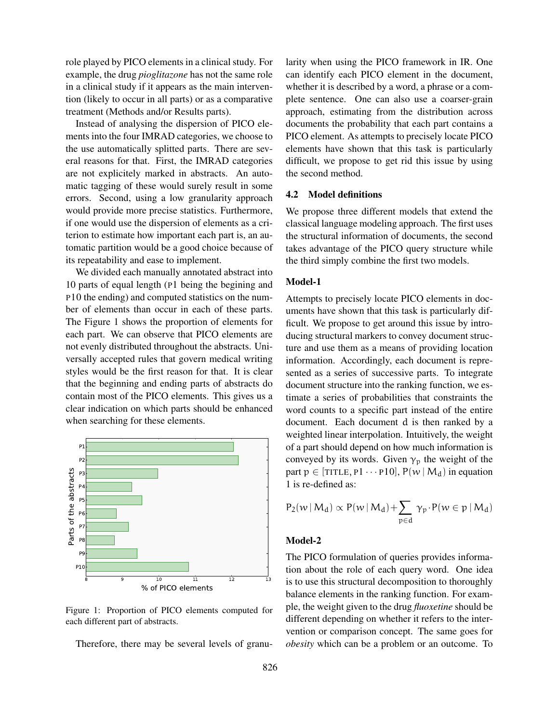role played by PICO elements in a clinical study. For example, the drug *pioglitazone* has not the same role in a clinical study if it appears as the main intervention (likely to occur in all parts) or as a comparative treatment (Methods and/or Results parts).

Instead of analysing the dispersion of PICO elements into the four IMRAD categories, we choose to the use automatically splitted parts. There are several reasons for that. First, the IMRAD categories are not explicitely marked in abstracts. An automatic tagging of these would surely result in some errors. Second, using a low granularity approach would provide more precise statistics. Furthermore, if one would use the dispersion of elements as a criterion to estimate how important each part is, an automatic partition would be a good choice because of its repeatability and ease to implement.

We divided each manually annotated abstract into 10 parts of equal length (P1 being the begining and P10 the ending) and computed statistics on the number of elements than occur in each of these parts. The Figure 1 shows the proportion of elements for each part. We can observe that PICO elements are not evenly distributed throughout the abstracts. Universally accepted rules that govern medical writing styles would be the first reason for that. It is clear that the beginning and ending parts of abstracts do contain most of the PICO elements. This gives us a clear indication on which parts should be enhanced when searching for these elements.



Figure 1: Proportion of PICO elements computed for each different part of abstracts.

Therefore, there may be several levels of granu-

larity when using the PICO framework in IR. One can identify each PICO element in the document, whether it is described by a word, a phrase or a complete sentence. One can also use a coarser-grain approach, estimating from the distribution across documents the probability that each part contains a PICO element. As attempts to precisely locate PICO elements have shown that this task is particularly difficult, we propose to get rid this issue by using the second method.

### 4.2 Model definitions

We propose three different models that extend the classical language modeling approach. The first uses the structural information of documents, the second takes advantage of the PICO query structure while the third simply combine the first two models.

## Model-1

Attempts to precisely locate PICO elements in documents have shown that this task is particularly difficult. We propose to get around this issue by introducing structural markers to convey document structure and use them as a means of providing location information. Accordingly, each document is represented as a series of successive parts. To integrate document structure into the ranking function, we estimate a series of probabilities that constraints the word counts to a specific part instead of the entire document. Each document d is then ranked by a weighted linear interpolation. Intuitively, the weight of a part should depend on how much information is conveyed by its words. Given  $\gamma_p$  the weight of the part  $p \in [TITLE, P1 \cdots P10], P(w \mid M_d)$  in equation 1 is re-defined as:

$$
P_2(w \,|\, M_d) \propto P(w \,|\, M_d) + \sum_{p \in d} \gamma_p \cdot P(w \in p \,|\, M_d)
$$

## Model-2

The PICO formulation of queries provides information about the role of each query word. One idea is to use this structural decomposition to thoroughly balance elements in the ranking function. For example, the weight given to the drug *fluoxetine* should be different depending on whether it refers to the intervention or comparison concept. The same goes for *obesity* which can be a problem or an outcome. To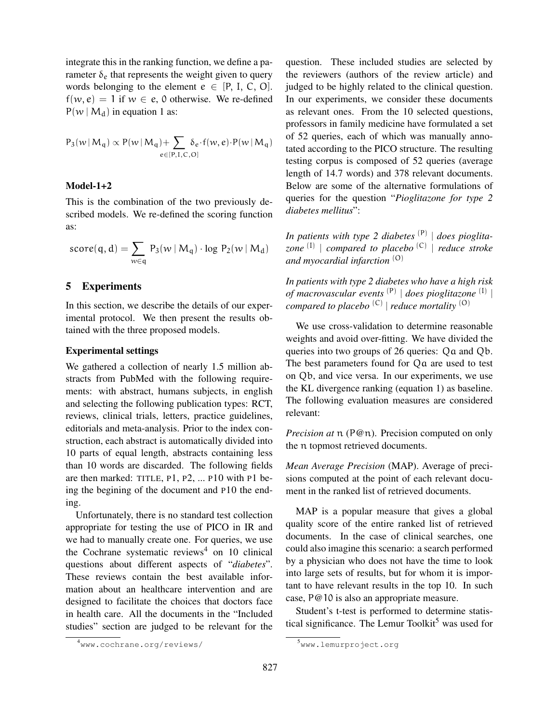integrate this in the ranking function, we define a parameter  $\delta_e$  that represents the weight given to query words belonging to the element  $e \in [P, I, C, O]$ .  $f(w, e) = 1$  if  $w \in e$ , 0 otherwise. We re-defined  $P(w \mid M_d)$  in equation 1 as:

$$
P_3(w \, | \, M_q) \propto P(w \, | \, M_q) + \!\!\!\!\! \sum_{e \in [P, I, C, O]} \!\!\!\! \delta_e\!\cdot\! f(w,e) \!\cdot\! P(w \, | \, M_q)
$$

## Model-1+2

This is the combination of the two previously described models. We re-defined the scoring function as:

$$
score(q,d) = \sum_{w \in q} \; P_3(w \: | \: M_q) \cdot log \; P_2(w \: | \: M_d)
$$

## 5 Experiments

In this section, we describe the details of our experimental protocol. We then present the results obtained with the three proposed models.

#### Experimental settings

We gathered a collection of nearly 1.5 million abstracts from PubMed with the following requirements: with abstract, humans subjects, in english and selecting the following publication types: RCT, reviews, clinical trials, letters, practice guidelines, editorials and meta-analysis. Prior to the index construction, each abstract is automatically divided into 10 parts of equal length, abstracts containing less than 10 words are discarded. The following fields are then marked: TITLE, P1, P2, ... P10 with P1 being the begining of the document and P10 the ending.

Unfortunately, there is no standard test collection appropriate for testing the use of PICO in IR and we had to manually create one. For queries, we use the Cochrane systematic reviews<sup>4</sup> on 10 clinical questions about different aspects of "*diabetes*". These reviews contain the best available information about an healthcare intervention and are designed to facilitate the choices that doctors face in health care. All the documents in the "Included studies" section are judged to be relevant for the question. These included studies are selected by the reviewers (authors of the review article) and judged to be highly related to the clinical question. In our experiments, we consider these documents as relevant ones. From the 10 selected questions, professors in family medicine have formulated a set of 52 queries, each of which was manually annotated according to the PICO structure. The resulting testing corpus is composed of 52 queries (average length of 14.7 words) and 378 relevant documents. Below are some of the alternative formulations of queries for the question "*Pioglitazone for type 2 diabetes mellitus*":

*In patients with type 2 diabetes* (P) | *does pioglitazone* (I) | *compared to placebo* (C) | *reduce stroke and myocardial infarction* (O)

*In patients with type 2 diabetes who have a high risk of macrovascular events* (P) | *does pioglitazone* (I) | *compared to placebo* (C) | *reduce mortality* (O)

We use cross-validation to determine reasonable weights and avoid over-fitting. We have divided the queries into two groups of 26 queries: Qa and Qb. The best parameters found for Qa are used to test on Qb, and vice versa. In our experiments, we use the KL divergence ranking (equation 1) as baseline. The following evaluation measures are considered relevant:

*Precision at*  $\pi$  (P@n). Precision computed on only the n topmost retrieved documents.

*Mean Average Precision* (MAP). Average of precisions computed at the point of each relevant document in the ranked list of retrieved documents.

MAP is a popular measure that gives a global quality score of the entire ranked list of retrieved documents. In the case of clinical searches, one could also imagine this scenario: a search performed by a physician who does not have the time to look into large sets of results, but for whom it is important to have relevant results in the top 10. In such case, P@10 is also an appropriate measure.

Student's t-test is performed to determine statistical significance. The Lemur Toolkit<sup>5</sup> was used for

<sup>4</sup>www.cochrane.org/reviews/

<sup>5</sup>www.lemurproject.org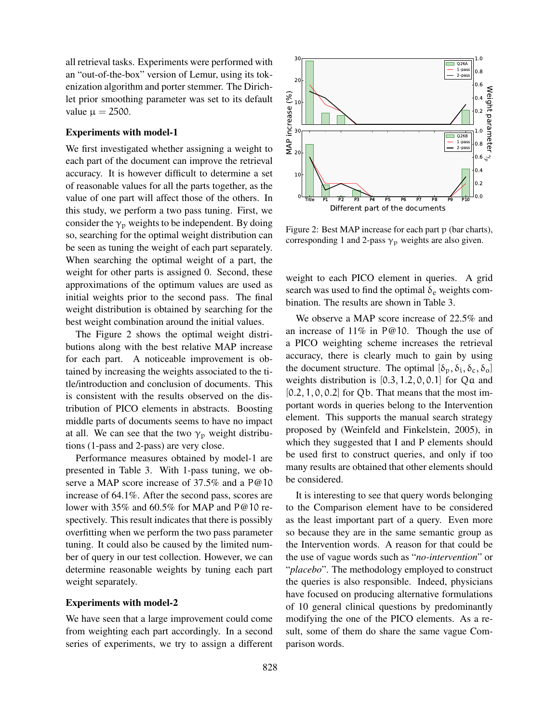all retrieval tasks. Experiments were performed with an "out-of-the-box" version of Lemur, using its tokenization algorithm and porter stemmer. The Dirichlet prior smoothing parameter was set to its default value  $\mu = 2500$ .

#### Experiments with model-1

We first investigated whether assigning a weight to each part of the document can improve the retrieval accuracy. It is however difficult to determine a set of reasonable values for all the parts together, as the value of one part will affect those of the others. In this study, we perform a two pass tuning. First, we consider the  $\gamma_p$  weights to be independent. By doing so, searching for the optimal weight distribution can be seen as tuning the weight of each part separately. When searching the optimal weight of a part, the weight for other parts is assigned 0. Second, these approximations of the optimum values are used as initial weights prior to the second pass. The final weight distribution is obtained by searching for the best weight combination around the initial values.

The Figure 2 shows the optimal weight distributions along with the best relative MAP increase for each part. A noticeable improvement is obtained by increasing the weights associated to the title/introduction and conclusion of documents. This is consistent with the results observed on the distribution of PICO elements in abstracts. Boosting middle parts of documents seems to have no impact at all. We can see that the two  $\gamma_p$  weight distributions (1-pass and 2-pass) are very close.

Performance measures obtained by model-1 are presented in Table 3. With 1-pass tuning, we observe a MAP score increase of 37.5% and a P@10 increase of 64.1%. After the second pass, scores are lower with 35% and 60.5% for MAP and P@10 respectively. This result indicates that there is possibly overfitting when we perform the two pass parameter tuning. It could also be caused by the limited number of query in our test collection. However, we can determine reasonable weights by tuning each part weight separately.

### Experiments with model-2

We have seen that a large improvement could come from weighting each part accordingly. In a second series of experiments, we try to assign a different



Figure 2: Best MAP increase for each part p (bar charts), corresponding 1 and 2-pass  $\gamma_p$  weights are also given.

weight to each PICO element in queries. A grid search was used to find the optimal  $\delta_e$  weights combination. The results are shown in Table 3.

We observe a MAP score increase of 22.5% and an increase of 11% in P@10. Though the use of a PICO weighting scheme increases the retrieval accuracy, there is clearly much to gain by using the document structure. The optimal  $[\delta_p, \delta_i, \delta_c, \delta_o]$ weights distribution is  $[0.3, 1.2, 0, 0.1]$  for Qa and  $[0.2, 1, 0, 0.2]$  for Qb. That means that the most important words in queries belong to the Intervention element. This supports the manual search strategy proposed by (Weinfeld and Finkelstein, 2005), in which they suggested that I and P elements should be used first to construct queries, and only if too many results are obtained that other elements should be considered.

It is interesting to see that query words belonging to the Comparison element have to be considered as the least important part of a query. Even more so because they are in the same semantic group as the Intervention words. A reason for that could be the use of vague words such as "*no-intervention*" or "*placebo*". The methodology employed to construct the queries is also responsible. Indeed, physicians have focused on producing alternative formulations of 10 general clinical questions by predominantly modifying the one of the PICO elements. As a result, some of them do share the same vague Comparison words.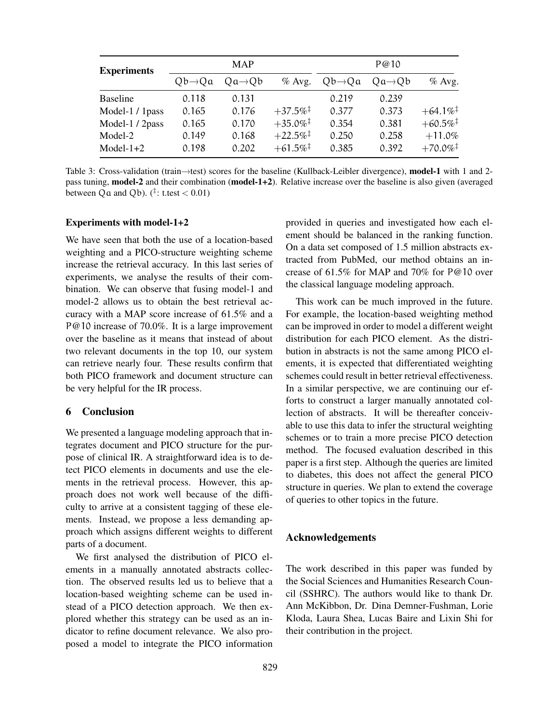| <b>Experiments</b> | <b>MAP</b>          |                     |                        | P@10                |                     |                        |
|--------------------|---------------------|---------------------|------------------------|---------------------|---------------------|------------------------|
|                    | $Qb \rightarrow Qa$ | $Qa \rightarrow Qb$ | $%$ Avg.               | $Qb \rightarrow Qa$ | $Qa \rightarrow Qb$ | $%$ Avg.               |
| <b>Baseline</b>    | 0.118               | 0.131               |                        | 0.219               | 0.239               |                        |
| Model-1 / 1pass    | 0.165               | 0.176               | $+37.5\%$ <sup>†</sup> | 0.377               | 0.373               | $+64.1\%$ <sup>‡</sup> |
| Model-1 / 2pass    | 0.165               | 0.170               | $+35.0\%$ <sup>‡</sup> | 0.354               | 0.381               | $+60.5\%$ <sup>‡</sup> |
| Model-2            | 0.149               | 0.168               | $+22.5\%$ <sup>†</sup> | 0.250               | 0.258               | $+11.0%$               |
| Model- $1+2$       | 0.198               | 0.202               | $+61.5\%$ <sup>†</sup> | 0.385               | 0.392               | $+70.0\%$ <sup>‡</sup> |

Table 3: Cross-validation (train→test) scores for the baseline (Kullback-Leibler divergence), model-1 with 1 and 2pass tuning, model-2 and their combination (model-1+2). Relative increase over the baseline is also given (averaged between Q a and Q b).  $(^{\ddagger}$ : t.test  $< 0.01$ )

#### Experiments with model-1+2

We have seen that both the use of a location-based weighting and a PICO-structure weighting scheme increase the retrieval accuracy. In this last series of experiments, we analyse the results of their combination. We can observe that fusing model-1 and model-2 allows us to obtain the best retrieval accuracy with a MAP score increase of 61.5% and a P@10 increase of 70.0%. It is a large improvement over the baseline as it means that instead of about two relevant documents in the top 10, our system can retrieve nearly four. These results confirm that both PICO framework and document structure can be very helpful for the IR process.

## 6 Conclusion

We presented a language modeling approach that integrates document and PICO structure for the purpose of clinical IR. A straightforward idea is to detect PICO elements in documents and use the elements in the retrieval process. However, this approach does not work well because of the difficulty to arrive at a consistent tagging of these elements. Instead, we propose a less demanding approach which assigns different weights to different parts of a document.

We first analysed the distribution of PICO elements in a manually annotated abstracts collection. The observed results led us to believe that a location-based weighting scheme can be used instead of a PICO detection approach. We then explored whether this strategy can be used as an indicator to refine document relevance. We also proposed a model to integrate the PICO information provided in queries and investigated how each element should be balanced in the ranking function. On a data set composed of 1.5 million abstracts extracted from PubMed, our method obtains an increase of 61.5% for MAP and 70% for P@10 over the classical language modeling approach.

This work can be much improved in the future. For example, the location-based weighting method can be improved in order to model a different weight distribution for each PICO element. As the distribution in abstracts is not the same among PICO elements, it is expected that differentiated weighting schemes could result in better retrieval effectiveness. In a similar perspective, we are continuing our efforts to construct a larger manually annotated collection of abstracts. It will be thereafter conceivable to use this data to infer the structural weighting schemes or to train a more precise PICO detection method. The focused evaluation described in this paper is a first step. Although the queries are limited to diabetes, this does not affect the general PICO structure in queries. We plan to extend the coverage of queries to other topics in the future.

## Acknowledgements

The work described in this paper was funded by the Social Sciences and Humanities Research Council (SSHRC). The authors would like to thank Dr. Ann McKibbon, Dr. Dina Demner-Fushman, Lorie Kloda, Laura Shea, Lucas Baire and Lixin Shi for their contribution in the project.